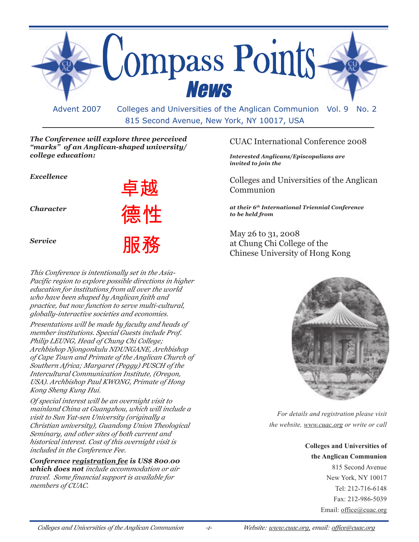

815 Second Avenue, New York, NY 10017, USA

## *The Conference will explore three perceived "marks" of an Anglican-shaped university/ college education:*

| Excellence       | 卓越              |
|------------------|-----------------|
| <b>Character</b> | 德性              |
| <b>Service</b>   | HĿ<br><u>ЖХ</u> |

*This Conference is intentionally set in the Asia-Pacific region to explore possible directions in higher education for institutions from all over the world who have been shaped by Anglican faith and practice, but now function to serve multi-cultural, globally-interactive societies and economies.*

*Presentations will be made by faculty and heads of member institutions. Special Guests include Prof. Philip LEUNG, Head of Chung Chi College; Archbishop Njongonkulu NDUNGANE, Archbishop of Cape Town and Primate of the Anglican Church of Southern Africa; Margaret (Peggy) PUSCH of the Intercultural Communication Institute, (Oregon, USA). Archbishop Paul KWONG, Primate of Hong Kong Sheng Kung Hui.*

*Of special interest will be an overnight visit to mainland China at Guangzhou, which will include a visit to Sun Yat-sen University (originally a Christian university), Guandong Union Theological Seminary, and other sites of both current and historical interest. Cost of this overnight visit is included in the Conference Fee.*

*Conference registration fee is US\$ 800.00 which does not include accommodation or air travel. Some financial support is available for members of CUAC.*

## CUAC International Conference 2008

*Interested Anglicans/Episcopalians are invited to join the*

Colleges and Universities of the Anglican Communion

*at their 6th International Triennial Conference to be held from*

May 26 to 31, 2008 at Chung Chi College of the Chinese University of Hong Kong



*For details and registration please visit the website, www.cuac.org or write or call*

> **Colleges and Universities of the Anglican Communion**

> > 815 Second Avenue New York, NY 10017 Tel: 212-716-6148 Fax: 212-986-5039 Email: office@cuac.org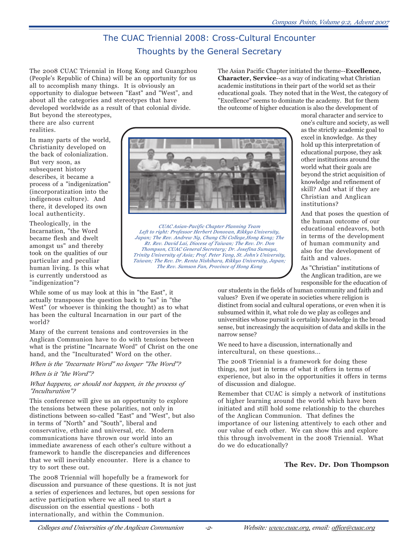## The CUAC Triennial 2008: Cross-Cultural Encounter Thoughts by the General Secretary

The 2008 CUAC Triennial in Hong Kong and Guangzhou (People's Republic of China) will be an opportunity for us all to accomplish many things. It is obviously an opportunity to dialogue between "East" and "West", and about all the categories and stereotypes that have developed worldwide as a result of that colonial divide.

But beyond the stereotypes, there are also current realities.

In many parts of the world, Christianity developed on the back of colonialization. But very soon, as subsequent history describes, it became a process of a "indigenization" (incorporatization into the indigenous culture). And there, it developed its own local authenticity.

Theologically, in the Incarnation, "the Word became flesh and dwelt amongst us" and thereby took on the qualities of our particular and peculiar human living. Is this what is currently understood as "indigenization"?

While some of us may look at this in "the East", it actually transposes the question back to "us" in "the West" (or whoever is thinking the thought) as to what has been the cultural Incarnation in our part of the world?

Many of the current tensions and controversies in the Anglican Communion have to do with tensions between what is the pristine "Incarnate Word" of Christ on the one hand, and the "Inculturated" Word on the other.

*When is the "Incarnate Word" no longer "The Word"?*

#### *When is it "the Word"?*

#### *What happens, or should not happen, in the process of "Inculturation"?*

This conference will give us an opportunity to explore the tensions between these polarities, not only in distinctions between so-called "East" and "West", but also in terms of "North" and "South", liberal and conservative, ethnic and universal, etc. Modern communications have thrown our world into an immediate awareness of each other's culture without a framework to handle the discrepancies and differences that we will inevitably encounter. Here is a chance to try to sort these out.

The 2008 Triennial will hopefully be a framework for discussion and pursuance of these questions. It is not just a series of experiences and lectures, but open sessions for active participation where we all need to start a discussion on the essential questions - both internationally, and within the Communion.

The Asian Pacific Chapter initiated the theme--**Excellence, Character, Service**--as a way of indicating what Christian academic institutions in their part of the world set as their educational goals. They noted that in the West, the category of "Excellence" seems to dominate the academy. But for them the outcome of higher education is also the development of



*CUAC Asian-Pacific Chapter Planning Team Left to right: Professor Herbert Donovan, Rikkyo University, Japan; The Rev. Andrew Ng, Chung Chi College,Hong Kong; The Rt. Rev. David Lai, Diocese of Taiwan; The Rev. Dr. Don Thompson, CUAC General Secretary; Dr. Josefina Sumaya, Trinity University of Asia; Prof. Peter Yang, St. John's University, Taiwan; The Rev. Dr. Renta Nishihara, Rikkyo University, Japan; The Rev. Samson Fan, Province of Hong Kong*

moral character and service to one's culture and society, as well as the strictly academic goal to excel in knowledge. As they hold up this interpretation of educational purpose, they ask other institutions around the world what their goals are beyond the strict acquisition of knowledge and refinement of skill? And what if they are Christian and Anglican institutions?

And that poses the question of the human outcome of our educational endeavors, both in terms of the development of human community and also for the development of faith and values.

As "Christian" institutions of the Anglican tradition, are we responsible for the education of

our students in the fields of human community and faith and values? Even if we operate in societies where religion is distinct from social and cultural operations, or even when it is subsumed within it, what role do we play as colleges and universities whose pursuit is certainly knowledge in the broad sense, but increasingly the acquisition of data and skills in the narrow sense?

We need to have a discussion, internationally and intercultural, on these questions...

The 2008 Triennial is a framework for doing these things, not just in terms of what it offers in terms of experience, but also in the opportunities it offers in terms of discussion and dialogue.

Remember that CUAC is simply a network of institutions of higher learning around the world which have been initiated and still hold some relationship to the churches of the Anglican Communion. That defines the importance of our listening attentively to each other and our value of each other. We can show this and explore this through involvement in the 2008 Triennial. What do we do educationally?

## **The Rev. Dr. Don Thompson**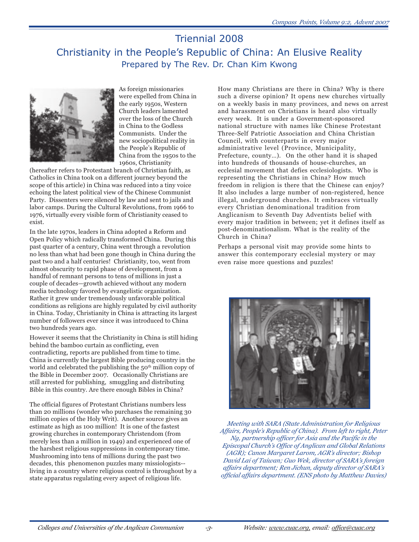## Triennial 2008 Christianity in the People's Republic of China: An Elusive Reality Prepared by The Rev. Dr. Chan Kim Kwong



As foreign missionaries were expelled from China in the early 1950s, Western Church leaders lamented over the loss of the Church in China to the Godless Communists. Under the new sociopolitical reality in the People's Republic of China from the 1950s to the 1960s, Christianity

(hereafter refers to Protestant branch of Christian faith, as Catholics in China took on a different journey beyond the scope of this article) in China was reduced into a tiny voice echoing the latest political view of the Chinese Communist Party. Dissenters were silenced by law and sent to jails and labor camps. During the Cultural Revolutions, from 1966 to 1976, virtually every visible form of Christianity ceased to exist.

In the late 1970s, leaders in China adopted a Reform and Open Policy which radically transformed China. During this past quarter of a century, China went through a revolution no less than what had been gone though in China during the past two and a half centuries! Christianity, too, went from almost obscurity to rapid phase of development, from a handful of remnant persons to tens of millions in just a couple of decades—growth achieved without any modern media technology favored by evangelistic organization. Rather it grew under tremendously unfavorable political conditions as religions are highly regulated by civil authority in China. Today, Christianity in China is attracting its largest number of followers ever since it was introduced to China two hundreds years ago.

However it seems that the Christianity in China is still hiding behind the bamboo curtain as conflicting, even contradicting, reports are published from time to time. China is currently the largest Bible producing country in the world and celebrated the publishing the 50<sup>th</sup> million copy of the Bible in December 2007. Occasionally Christians are still arrested for publishing, smuggling and distributing Bible in this country. Are there enough Bibles in China?

The official figures of Protestant Christians numbers less than 20 millions (wonder who purchases the remaining 30 million copies of the Holy Writ). Another source gives an estimate as high as 100 million! It is one of the fastest growing churches in contemporary Christendom (from merely less than a million in 1949) and experienced one of the harshest religious suppressions in contemporary time. Mushrooming into tens of millions during the past two decades, this phenomenon puzzles many missiologists- living in a country where religious control is throughout by a state apparatus regulating every aspect of religious life.

How many Christians are there in China? Why is there such a diverse opinion? It opens new churches virtually on a weekly basis in many provinces, and news on arrest and harassment on Christians is heard also virtually every week. It is under a Government-sponsored national structure with names like Chinese Protestant Three-Self Patriotic Association and China Christian Council, with counterparts in every major administrative level (Province, Municipality, Prefecture, county…). On the other hand it is shaped into hundreds of thousands of house-churches, an ecclesial movement that defies ecclesiologists. Who is representing the Christians in China? How much freedom in religion is there that the Chinese can enjoy? It also includes a large number of non-registered, hence illegal, underground churches. It embraces virtually every Christian denominational tradition from Anglicanism to Seventh Day Adventists belief with every major tradition in between; yet it defines itself as post-denominationalism. What is the reality of the Church in China?

Perhaps a personal visit may provide some hints to answer this contemporary ecclesial mystery or may even raise more questions and puzzles!



*Meeting with SARA (State Administration for Religious Affairs, People's Republic of China). From left to right, Peter Ng, partnership officer for Asia and the Pacific in the Episcopal Church's Office of Anglican and Global Relations (AGR); Canon Margaret Larom, AGR's director; Bishop David Lai of Taiwan; Guo Wek, director of SARA's foreign affairs department; Ren Jichun, deputy director of SARA's official affairs department. (ENS photo by Matthew Davies)*

*-3-*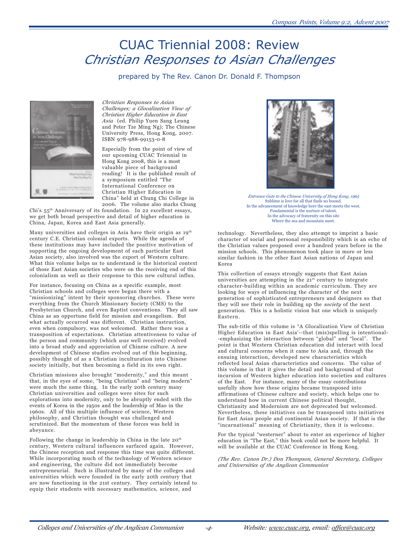# CUAC Triennial 2008: Review *Christian Responses to Asian Challenges*

prepared by The Rev. Canon Dr. Donald F. Thompson



*Christian Responses to Asian Challenges; a Glocalization View of Christian Higher Education in East Asia* (ed. Philip Yuen Sang Leung and Peter Tze Ming Ng); The Chinese University Press, Hong Kong, 2007. ISBN 978-988-99153-0-8

Especially from the point of view of our upcoming CUAC Triennial in Hong Kong 2008, this is a most valuable piece of background reading! It is the published result of a symposium entitled "The International Conference on Christian Higher Education in China" held at Chung Chi College in 2006. The volume also marks Chung

Chi's 55th Anniversary of its foundation. In 22 excellent essays, we get both broad perspective and detail of higher education in China, Japan, Korea and East Asia generally.

Many universities and colleges in Asia have their origin as 19<sup>th</sup> century C.E. Christian colonial exports. While the agenda of these institutions may have included the positive motivation of supporting the ongoing development of each particular East Asian society, also involved was the export of Western culture. What this volume helps us to understand is the historical context of those East Asian societies who were on the receiving end of this colonialism as well as their response to this new cultural influx.

For instance, focusing on China as a specific example, most Christian schools and colleges were begun there with a "missionizing" intent by their sponsoring churches. These were everything from the Church Missionary Society (CMS) to the Presbyterian Church, and even Baptist conventions. They all saw China as an opportune field for mission and evangelism. But what actually occurred was different. Christian instruction, even when compulsory, was not welcomed. Rather there was a transposition of expectations. Christian attentiveness to value of the person and community (which *was* well received) evolved into a broad study and appreciation of Chinese culture. A new development of Chinese studies evolved out of this beginning, possibly thought of as a Christian inculturation into Chinese society initially, but then becoming a field in its own right.

Christian missions also brought "modernity," and this meant that, in the eyes of some, "being Christian" and "being modern" were much the same thing. In the early 20th century many Christian universities and colleges were sites for such explorations into modernity, only to be abruptly ended with the events of Korea in the 1950s and the leadership of Mao in the 1960s. All of this multiple influence of science, Western philosophy, and Christian thought was challenged and scrutinized. But the momentum of these forces was held in abeyance.

Following the change in leadership in China in the late 20<sup>th</sup> century, Western cultural influences surfaced again. However, the Chinese reception and response this time was quite different. While incorporating much of the technology of Western science and engineering, the culture did not immediately become entrepreneurial. Such is illustrated by many of the colleges and universities which were founded in the early 20th century that are now functioning in the 21st century. They certainly intend to equip their students with necessary mathematics, science, and



*Entrance Gate to the Chinese University of Hong Kong, 1965* Sublime is love for all that finds no bound. In the advancement of knowledge here the east meets the west. Fundamental is the nurture of talent. In the advocacy of fraternity on this site Where the sea and mountain meet.

technology. Nevertheless, they also attempt to imprint a basic character of social and personal responsibility which is an echo of the Christian values proposed over a hundred years before in the mission schools. This phenomenon took place in more or less similar fashion in the other East Asian nations of Japan and Korea

This collection of essays strongly suggests that East Asian universities are attempting in the 21<sup>st</sup> century to integrate character-building within an academic curriculum. They are looking for ways of influencing the character of the next generation of sophisticated entrepreneurs and designers so that they will see their role in building up the *society* of the next generation. This is a holistic vision but one which is uniquely Eastern.

The sub-title of this volume is "A Glocalization View of Christian Higher Education in East Asia'--that (mis)spelling is intentional- -emphasizing the interaction between "global" and "local". The point is that Western Christian education did interact with local and cultural concerns when it came to Asia and, through the ensuing interaction, developed new characteristics which reflected local Asian characteristics and concerns. The value of this volume is that it gives the detail and background of that incursion of Western higher education into societies and cultures of the East. For instance, many of the essay contributions usefully show how these origins became transposed into affirmations of Chinese culture and society, which helps one to understand how in current Chinese political thought, Christianity and Modernism are not deprecated but welcomed. Nevertheless, these initiatives can be transposed into initiatives for East Asian people and continental Asian society. If that is the "incarnational" meaning of Christianity, then it is welcome.

For the typical "westerner" about to enter an experience of higher education in "The East," this book could not be more helpful. It will be available at the CUAC Conference in Hong Kong.

*(The Rev. Canon Dr.) Don Thompson, General Secretary, Colleges and Universities of the Anglican Communion*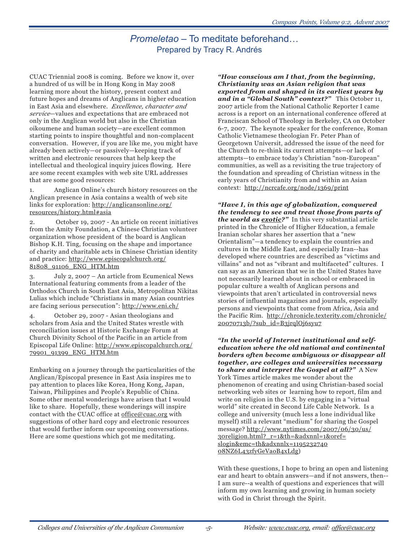## Promeletao – To meditate beforehand… Prepared by Tracy R. Andrés

CUAC Triennial 2008 is coming. Before we know it, over a hundred of us will be in Hong Kong in May 2008 learning more about the history, present context and future hopes and dreams of Anglicans in higher education in East Asia and elsewhere. *Excellence, character and service*—values and expectations that are embraced not only in the Anglican world but also in the Christian oikoumene and human society—are excellent common starting points to inspire thoughtful and non-complacent conversation. However, if you are like me, you might have already been actively—or passively—keeping track of written and electronic resources that help keep the intellectual and theological inquiry juices flowing. Here are some recent examples with web site URL addresses that are some good resources:

1. Anglican Online's church history resources on the Anglican presence in Asia contains a wealth of web site links for exploration: http://anglicansonline.org/ resources/history.html#asia

2. October 19, 2007 - An article on recent initiatives from the Amity Foundation, a Chinese Christian volunteer organization whose president of the board is Anglican Bishop K.H. Ting, focusing on the shape and importance of charity and charitable acts in Chinese Christian identity and practice: http://www.episcopalchurch.org/ 81808\_91106\_ENG\_HTM.htm

3. July 2, 2007 – An article from Ecumenical News International featuring comments from a leader of the Orthodox Church in South East Asia, Metropolitan Nikitas Lulias which include "Christians in many Asian countries are facing serious persecution": http://www.eni.ch/

4. October 29, 2007 - Asian theologians and scholars from Asia and the United States wrestle with reconciliation issues at Historic Exchange Forum at Church Divinity School of the Pacific in an article from Episcopal Life Online: http://www.episcopalchurch.org/ 79901\_91399\_ENG\_HTM.htm

Embarking on a journey through the particularities of the Anglican/Episcopal presence in East Asia inspires me to pay attention to places like Korea, Hong Kong, Japan, Taiwan, Philippines and People's Republic of China. Some other mental wonderings have arisen that I would like to share. Hopefully, these wonderings will inspire contact with the CUAC office at office@cuac.org with suggestions of other hard copy and electronic resources that would further inform our upcoming conversations. Here are some questions which got me meditating.

*"How conscious am I that, from the beginning, Christianity was an Asian religion that was exported from and shaped in its earliest years by and in a "Global South" context?"* This October 11, 2007 article from the National Catholic Reporter I came across is a report on an international conference offered at Franciscan School of Theology in Berkeley, CA on October 6-7, 2007. The keynote speaker for the conference, Roman Catholic Vietnamese theologian Fr. Peter Phan of Georgetown Universit, addressed the issue of the need for the Church to re-think its current attempts—or lack of attempts—to embrace today's Christian "non-European" communities, as well as a revisiting the true trajectory of the foundation and spreading of Christian witness in the early years of Christianity from and within an Asian context: http://ncrcafe.org/node/1369/print

*"Have I, in this age of globalization, conquered the tendency to see and treat those from parts of the world as exotic?"* In this very substantial article printed in the Chronicle of Higher Education, a female Iranian scholar shares her assertion that a "new Orientalism"—a tendency to explain the countries and cultures in the Middle East, and especially Iran--has developed where countries are described as "victims and villains" and not as "vibrant and multifaceted" cultures. I can say as an American that we in the United States have not necessarily learned about in school or embraced in popular culture a wealth of Anglican persons and viewpoints that aren't articulated in controversial news stories of influential magazines and journals, especially persons and viewpoints that come from Africa, Asia and the Pacific Rim. http://chronicle.texterity.com/chronicle/ 20070713b/?sub\_id=B3jrqlOj6syu7

*"In the world of Internet institutional and selfeducation where the old national and continental borders often become ambiguous or disappear all together, are colleges and universities necessary to share and interpret the Gospel at all?"* A New York Times article makes me wonder about the phenomenon of creating and using Christian-based social networking web sites or learning how to report, film and write on religion in the U.S. by engaging in a "virtual world" site created in Second Life Cable Network. Is a college and university (much less a lone individual like myself) still a relevant "medium" for sharing the Gospel message? http://www.nytimes.com/2007/06/30/us/ 30religion.html?\_r=1&th=&adxnnl=1&oref= slogin&emc=th&adxnnlx=1195232740 08NZ6L43zfyGeVaoB4xLdg)

With these questions, I hope to bring an open and listening ear and heart to obtain answers—and if not answers, then-- I am sure--a wealth of questions and experiences that will inform my own learning and growing in human society with God in Christ through the Spirit.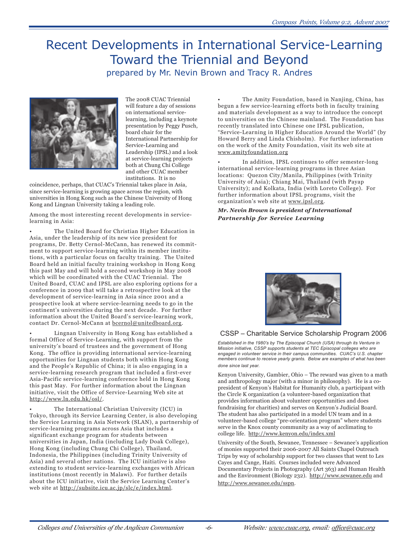# Recent Developments in International Service-Learning Toward the Triennial and Beyond prepared by Mr. Nevin Brown and Tracy R. Andres



The 2008 CUAC Triennial will feature a day of sessions on international servicelearning, including a keynote presentation by Peggy Pusch, board chair for the International Partnership for Service-Learning and Leadership (IPSL) and a look at service-learning projects both at Chung Chi College and other CUAC member institutions. It is no

coincidence, perhaps, that CUAC's Triennial takes place in Asia, since service-learning is growing apace across the region, with universities in Hong Kong such as the Chinese University of Hong Kong and Lingnan University taking a leading role.

Among the most interesting recent developments in servicelearning in Asia:

The United Board for Christian Higher Education in Asia, under the leadership of its new vice president for programs, Dr. Betty Cernol-McCann, has renewed its commitment to support service-learning within its member institutions, with a particular focus on faculty training. The United Board held an initial faculty training workshop in Hong Kong this past May and will hold a second workshop in May 2008 which will be coordinated with the CUAC Triennial. The United Board, CUAC and IPSL are also exploring options for a conference in 2009 that will take a retrospective look at the development of service-learning in Asia since 2001 and a prospective look at where service-learning needs to go in the continent's universities during the next decade. For further information about the United Board's service-learning work, contact Dr. Cernol-McCann at bcernol@unitedboard.org.

• Lingnan University in Hong Kong has established a formal Office of Service-Learning, with support from the university's board of trustees and the government of Hong Kong. The office is providing international service-learning opportunities for Lingnan students both within Hong Kong and the People's Republic of China; it is also engaging in a service-learning research program that included a first-ever Asia-Pacific service-learning conference held in Hong Kong this past May. For further information about the Lingnan initiative, visit the Office of Service-Learning Web site at http://www.ln.edu.hk/osl/.

• The International Christian University (ICU) in Tokyo, through its Service Learning Center, is also developing the Service Learning in Asia Network (SLAN), a partnership of service-learning programs across Asia that includes a significant exchange program for students between universities in Japan, India (including Lady Doak College), Hong Kong (including Chung Chi College), Thailand, Indonesia, the Philippines (including Trinity University of Asia) and several other nations. The ICU initiative is also extending to student service-learning exchanges with African institutions (most recently in Malawi). For further details about the ICU initiative, visit the Service Learning Center's web site at http://subsite.icu.ac.jp/slc/e/index.html.

• The Amity Foundation, based in Nanjing, China, has begun a few service-learning efforts both in faculty training and materials development as a way to introduce the concept to universities on the Chinese mainland. The Foundation has recently translated into Chinese one IPSL publication, "Service-Learning in Higher Education Around the World" (by Howard Berry and Linda Chisholm). For further information on the work of the Amity Foundation, visit its web site at www.amityfoundation.org

In addition, IPSL continues to offer semester-long international service-learning programs in three Asian locations: Quezon City/Manila, Philippines (with Trinity University of Asia); Chiang Mai, Thailand (with Payap University); and Kolkata, India (with Loreto College). For further information about IPSL programs, visit the organization's web site at www.ipsl.org.

*Mr. Nevin Brown is president of International Partnership for Service Learning*



#### CSSP – Charitable Service Scholarship Program 2006

Established in the 1980's by The Episcopal Church (USA) through its Venture in Mission initiative, CSSP supports students at TEC Episcopal colleges who are engaged in volunteer service in their campus communities. CUAC's U.S. chapter members continue to receive yearly grants. Below are examples of what has been done since last year.

Kenyon University, Gambier, Ohio – The reward was given to a math and anthropology major (with a minor in philosophy). He is a copresident of Kenyon's Habitat for Humanity club, a participant with the Circle K organization (a volunteer-based organization that provides information about volunteer opportunities and does fundraising for charities) and serves on Kenyon's Judicial Board. The student has also participated in a model UN team and in a volunteer-based college "pre-orientation program" where students serve in the Knox county community as a way of acclimating to college life. http://www.kenyon.edu/index.xml

University of the South, Sewanee, Tennessee – Sewanee's application of monies supported their 2006-2007 All Saints Chapel Outreach Trips by way of scholarship support for two classes that went to Les Cayes and Cange, Haiti. Courses included were Advanced Documentary Projects in Photography (Art 363) and Human Health and the Environment (Biology 232). http://www.sewanee.edu and http://www.sewanee.edu/sspn.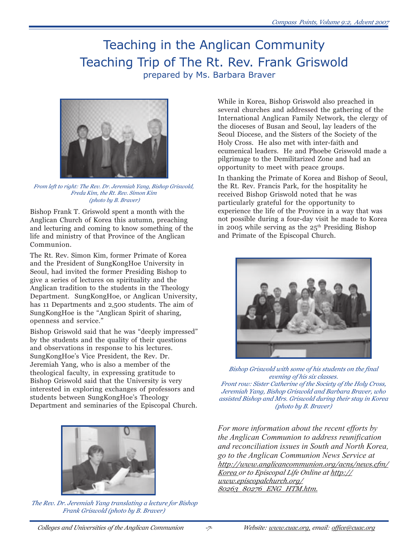# Teaching in the Anglican Community Teaching Trip of The Rt. Rev. Frank Griswold prepared by Ms. Barbara Braver



*From left to right: The Rev. Dr. Jeremiah Yang, Bishop Griswold, Freda Kim, the Rt. Rev. Simon Kim (photo by B. Braver)*

Bishop Frank T. Griswold spent a month with the Anglican Church of Korea this autumn, preaching and lecturing and coming to know something of the life and ministry of that Province of the Anglican Communion.

The Rt. Rev. Simon Kim, former Primate of Korea and the President of SungKongHoe University in Seoul, had invited the former Presiding Bishop to give a series of lectures on spirituality and the Anglican tradition to the students in the Theology Department. SungKongHoe, or Anglican University, has 11 Departments and 2,500 students. The aim of SungKongHoe is the "Anglican Spirit of sharing, openness and service."

Bishop Griswold said that he was "deeply impressed" by the students and the quality of their questions and observations in response to his lectures. SungKongHoe's Vice President, the Rev. Dr. Jeremiah Yang, who is also a member of the theological faculty, in expressing gratitude to Bishop Griswold said that the University is very interested in exploring exchanges of professors and students between SungKongHoe's Theology Department and seminaries of the Episcopal Church.



*The Rev. Dr. Jeremiah Yang translating a lecture for Bishop Frank Griswold (photo by B. Braver)*

While in Korea, Bishop Griswold also preached in several churches and addressed the gathering of the International Anglican Family Network, the clergy of the dioceses of Busan and Seoul, lay leaders of the Seoul Diocese, and the Sisters of the Society of the Holy Cross. He also met with inter-faith and ecumenical leaders. He and Phoebe Griswold made a pilgrimage to the Demilitarized Zone and had an opportunity to meet with peace groups.

In thanking the Primate of Korea and Bishop of Seoul, the Rt. Rev. Francis Park, for the hospitality he received Bishop Griswold noted that he was particularly grateful for the opportunity to experience the life of the Province in a way that was not possible during a four-day visit he made to Korea in 2005 while serving as the  $25<sup>th</sup>$  Presiding Bishop and Primate of the Episcopal Church.



*Bishop Griswold with some of his students on the final evening of his six classes. Front row: Sister Catherine of the Society of the Holy Cross, Jeremiah Yang, Bishop Griswold and Barbara Braver, who assisted Bishop and Mrs. Griswold during their stay in Korea (photo by B. Braver)*

*For more information about the recent efforts by the Anglican Communion to address reunification and reconciliation issues in South and North Korea, go to the Anglican Communion News Service at http://www.anglicancommunion.org/acns/news.cfm/ Korea or to Episcopal Life Online at http:// www.episcopalchurch.org/ 80263\_80276\_ENG\_HTM.htm.*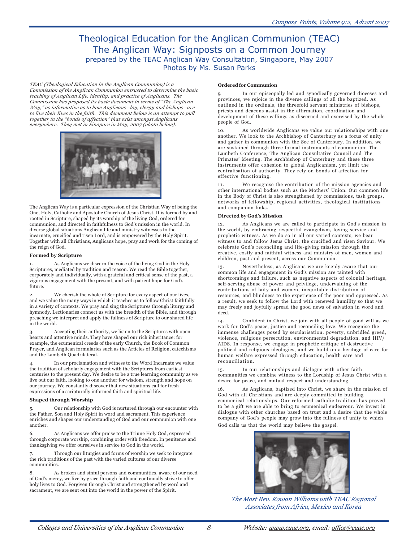## Theological Education for the Anglican Communion (TEAC) The Anglican Way: Signposts on a Common Journey prepared by the TEAC Anglican Way Consultation, Singapore, May 2007 Photos by Ms. Susan Parks

*TEAC (Theological Education in the Anglican Communion) is a Commission of the Anglican Communion entrusted to determine the basic teaching of Anglican Life, identity, and practice of Anglicans. The Commission has proposed its basic document in terms of "The Anglican Way," as informative as to how Anglicans--lay, clergy and bishops--are to live their lives in the faith. This document below is an attempt to pull together in the "bonds of affection" that exist amongst Anglicans everywhere. They met in Sinapore in May, 2007 (photo below).*



The Anglican Way is a particular expression of the Christian Way of being the One, Holy, Catholic and Apostolic Church of Jesus Christ. It is formed by and rooted in Scripture, shaped by its worship of the living God, ordered for communion, and directed in faithfulness to God's mission in the world. In diverse global situations Anglican life and ministry witnesses to the incarnate, crucified and risen Lord, and is empowered by the Holy Spirit. Together with all Christians, Anglicans hope, pray and work for the coming of the reign of God.

#### **Formed by Scripture**

1. As Anglicans we discern the voice of the living God in the Holy Scriptures, mediated by tradition and reason. We read the Bible together, corporately and individually, with a grateful and critical sense of the past, a vigorous engagement with the present, and with patient hope for God's future.

2. We cherish the whole of Scripture for every aspect of our lives, and we value the many ways in which it teaches us to follow Christ faithfully in a variety of contexts. We pray and sing the Scriptures through liturgy and hymnody. Lectionaries connect us with the breadth of the Bible, and through preaching we interpret and apply the fullness of Scripture to our shared life in the world.

Accepting their authority, we listen to the Scriptures with open hearts and attentive minds. They have shaped our rich inheritance: for example, the ecumenical creeds of the early Church, the Book of Common Prayer, and Anglican formularies such as the Articles of Religion, catechisms and the Lambeth Quadrilateral.

4. In our proclamation and witness to the Word Incarnate we value the tradition of scholarly engagement with the Scriptures from earliest centuries to the present day. We desire to be a true learning community as we live out our faith, looking to one another for wisdom, strength and hope on our journey. We constantly discover that new situations call for fresh expressions of a scripturally informed faith and spiritual life.

#### **Shaped through Worship**

5. Our relationship with God is nurtured through our encounter with the Father, Son and Holy Spirit in word and sacrament. This experience enriches and shapes our understanding of God and our communion with one another.

6. As Anglicans we offer praise to the Triune Holy God, expressed through corporate worship, combining order with freedom. In penitence and thanksgiving we offer ourselves in service to God in the world.

Through our liturgies and forms of worship we seek to integrate the rich traditions of the past with the varied cultures of our diverse communities.

As broken and sinful persons and communities, aware of our need of God's mercy, we live by grace through faith and continually strive to offer holy lives to God. Forgiven through Christ and strengthened by word and sacrament, we are sent out into the world in the power of the Spirit.

#### **Ordered for Communion**

In our episcopally led and synodically governed dioceses and provinces, we rejoice in the diverse callings of all the baptized. As outlined in the ordinals, the threefold servant ministries of bishops, priests and deacons assist in the affirmation, coordination and development of these callings as discerned and exercised by the whole people of God.

10. As worldwide Anglicans we value our relationships with one another. We look to the Archbishop of Canterbury as a focus of unity and gather in communion with the See of Canterbury. In addition, we are sustained through three formal instruments of communion: The Lambeth Conference, The Anglican Consultative Council and The Primates' Meeting. The Archbishop of Canterbury and these three instruments offer cohesion to global Anglicanism, yet limit the centralisation of authority. They rely on bonds of affection for effective functioning.

11. We recognise the contribution of the mission agencies and other international bodies such as the Mothers' Union. Our common life in the Body of Christ is also strengthened by commissions, task groups, networks of fellowship, regional activities, theological institutions and companion links.

#### **Directed by God's Mission**

12. As Anglicans we are called to participate in God's mission in the world, by embracing respectful evangelism, loving service and prophetic witness. As we do so in all our varied contexts, we bear witness to and follow Jesus Christ, the crucified and risen Saviour. We celebrate God's reconciling and life-giving mission through the creative, costly and faithful witness and ministry of men, women and children, past and present, across our Communion.

13. Nevertheless, as Anglicans we are keenly aware that our common life and engagement in God's mission are tainted with shortcomings and failure, such as negative aspects of colonial heritage, self-serving abuse of power and privilege, undervaluing of the contributions of laity and women, inequitable distribution of resources, and blindness to the experience of the poor and oppressed. As a result, we seek to follow the Lord with renewed humility so that we may freely and joyfully spread the good news of salvation in word and deed.

14. Confident in Christ, we join with all people of good will as we work for God's peace, justice and reconciling love. We recognise the immense challenges posed by secularisation, poverty, unbridled greed, violence, religious persecution, environmental degradation, and HIV/ AIDS. In response, we engage in prophetic critique of destructive political and religious ideologies, and we build on a heritage of care for human welfare expressed through education, health care and reconciliation.

15. In our relationships and dialogue with other faith communities we combine witness to the Lordship of Jesus Christ with a desire for peace, and mutual respect and understanding.

16. As Anglicans, baptized into Christ, we share in the mission of God with all Christians and are deeply committed to building ecumenical relationships. Our reformed catholic tradition has proved to be a gift we are able to bring to ecumenical endeavour. We invest in dialogue with other churches based on trust and a desire that the whole company of God's people may grow into the fullness of unity to which

God calls us that the world may believe the gospel.



*The Most Rev. Rowan Williams with TEAC Regional Associates from Africa, Mexico and Korea*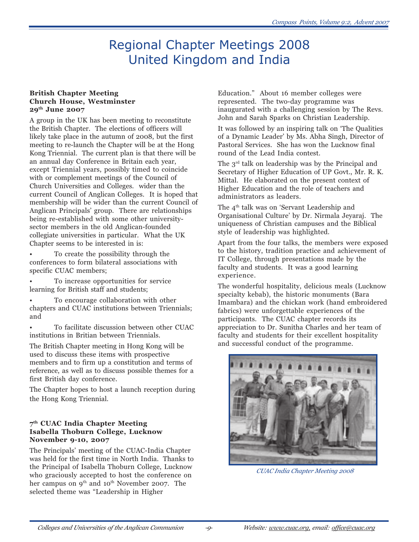# Regional Chapter Meetings 2008 United Kingdom and India

#### **British Chapter Meeting Church House, Westminster 29th June 2007**

A group in the UK has been meeting to reconstitute the British Chapter. The elections of officers will likely take place in the autumn of 2008, but the first meeting to re-launch the Chapter will be at the Hong Kong Triennial. The current plan is that there will be an annual day Conference in Britain each year, except Triennial years, possibly timed to coincide with or complement meetings of the Council of Church Universities and Colleges. wider than the current Council of Anglican Colleges. It is hoped that membership will be wider than the current Council of Anglican Principals' group. There are relationships being re-established with some other universitysector members in the old Anglican-founded collegiate universities in particular. What the UK Chapter seems to be interested in is:

• To create the possibility through the conferences to form bilateral associations with specific CUAC members;

• To increase opportunities for service learning for British staff and students;

• To encourage collaboration with other chapters and CUAC institutions between Triennials; and

• To facilitate discussion between other CUAC institutions in Britian between Triennials.

The British Chapter meeting in Hong Kong will be used to discuss these items with prospective members and to firm up a constitution and terms of reference, as well as to discuss possible themes for a first British day conference.

The Chapter hopes to host a launch reception during the Hong Kong Triennial.

### **7th CUAC India Chapter Meeting Isabella Thoburn College, Lucknow November 9-10, 2007**

The Principals' meeting of the CUAC-India Chapter was held for the first time in North India. Thanks to the Principal of Isabella Thoburn College, Lucknow who graciously accepted to host the conference on her campus on 9<sup>th</sup> and 10<sup>th</sup> November 2007. The selected theme was "Leadership in Higher

Education." About 16 member colleges were represented. The two-day programme was inaugurated with a challenging session by The Revs. John and Sarah Sparks on Christian Leadership.

It was followed by an inspiring talk on 'The Qualities of a Dynamic Leader' by Ms. Abha Singh, Director of Pastoral Services. She has won the Lucknow final round of the Lead India contest.

The  $3<sup>rd</sup>$  talk on leadership was by the Principal and Secretary of Higher Education of UP Govt., Mr. R. K. Mittal. He elaborated on the present context of Higher Education and the role of teachers and administrators as leaders.

The 4<sup>th</sup> talk was on 'Servant Leadership and Organisational Culture' by Dr. Nirmala Jeyaraj. The uniqueness of Christian campuses and the Biblical style of leadership was highlighted.

Apart from the four talks, the members were exposed to the history, tradition practice and achievement of IT College, through presentations made by the faculty and students. It was a good learning experience.

The wonderful hospitality, delicious meals (Lucknow specialty kebab), the historic monuments (Bara Imambara) and the chickan work (hand embroidered fabrics) were unforgettable experiences of the participants. The CUAC chapter records its appreciation to Dr. Sunitha Charles and her team of faculty and students for their excellent hospitality and successful conduct of the programme.



*CUAC India Chapter Meeting 2008*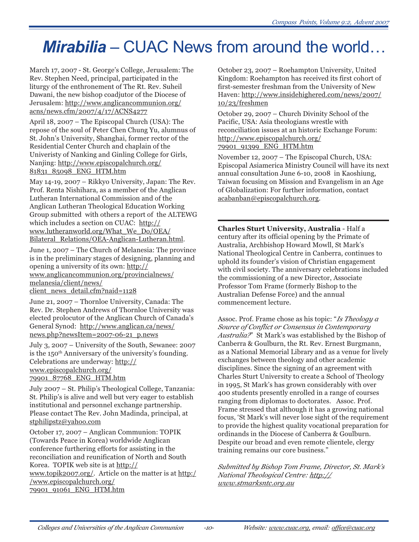# **Mirabilia** – CUAC News from around the world…

March 17, 2007 - St. George's College, Jerusalem: The Rev. Stephen Need, principal, participated in the liturgy of the enthronement of The Rt. Rev. Suheil Dawani, the new bishop coadjutor of the Diocese of Jerusalem: http://www.anglicancommunion.org/ acns/news.cfm/2007/4/17/ACNS4277

April 18, 2007 – The Episcopal Church (USA): The repose of the soul of Peter Chen Chung Yu, alumnus of St. John's University, Shanghai, former rector of the Residential Center Church and chaplain of the Univeristy of Nanking and Ginling College for Girls, Nanjing: http://www.episcopalchurch.org/ 81831\_85098\_ENG\_HTM.htm

May 14-19, 2007 – Rikkyo University, Japan: The Rev. Prof. Renta Nishihara, as a member of the Anglican Lutheran International Commission and of the Anglican Lutheran Theological Education Working Group submitted with others a report of the ALTEWG which includes a section on CUAC: http:// www.lutheranworld.org/What\_We\_Do/OEA/ Bilateral\_Relations/OEA-Anglican-Lutheran.html.

June 1, 2007 – The Church of Melanesia: The province is in the preliminary stages of designing, planning and opening a university of its own: http:// www.anglicancommunion.org/provincialnews/ melanesia/client/news/ client news detail.cfm?naid=1128

June 21, 2007 – Thornloe University, Canada: The Rev. Dr. Stephen Andrews of Thornloe University was elected prolocutor of the Anglican Church of Canada's General Synod: http://www.anglican.ca/news/ news.php?newsItem=2007-06-21\_p.news

July 3, 2007 – University of the South, Sewanee: 2007 is the 150<sup>th</sup> Anniversary of the university's founding. Celebrations are underway: http:// www.episcopalchurch.org/

## 79901\_87768\_ENG\_HTM.htm

July 2007 – St. Philip's Theological College, Tanzania: St. Philip's is alive and well but very eager to establish institutional and personnel exchange partnership. Please contact The Rev. John Madinda, principal, at stphilipstz@yahoo.com

October 17, 2007 – Anglican Communion: TOPIK (Towards Peace in Korea) worldwide Anglican conference furthering efforts for assisting in the reconciliation and reunification of North and South Korea. TOPIK web site is at http:// www.topik2007.org/. Article on the matter is at http:/ /www.episcopalchurch.org/ 79901\_91061\_ENG\_HTM.htm

October 23, 2007 – Roehampton University, United Kingdom: Roehampton has received its first cohort of first-semester freshman from the University of New Haven: http://www.insidehighered.com/news/2007/ 10/23/freshmen

October 29, 2007 – Church Divinity School of the Pacific, USA: Asia theologians wrestle with reconciliation issues at an historic Exchange Forum: http://www.episcopalchurch.org/ 79901\_91399\_ENG\_HTM.htm

November 12, 2007 – The Episcopal Church, USA: Episcopal Asiamerica Ministry Council will have its next annual consultation June 6-10, 2008 in Kaoshiung, Taiwan focusing on Mission and Evangelism in an Age of Globalization: For further information, contact acabanban@episcopalchurch.org.

**Charles Sturt University, Australia** - Half a century after its official opening by the Primate of Australia, Archbishop Howard Mowll, St Mark's National Theological Centre in Canberra, continues to uphold its founder's vision of Christian engagement with civil society. The anniversary celebrations included the commissioning of a new Director, Associate Professor Tom Frame (formerly Bishop to the Australian Defense Force) and the annual commencement lecture.

Assoc. Prof. Frame chose as his topic: "*Is Theology a Source of Conflict or Consensus in Contemporary Australia?*" St Mark's was established by the Bishop of Canberra & Goulburn, the Rt. Rev. Ernest Burgmann, as a National Memorial Library and as a venue for lively exchanges between theology and other academic disciplines. Since the signing of an agreement with Charles Sturt University to create a School of Theology in 1995, St Mark's has grown considerably with over 400 students presently enrolled in a range of courses ranging from diplomas to doctorates. Assoc. Prof. Frame stressed that although it has a growing national focus, 'St Mark's will never lose sight of the requirement to provide the highest quality vocational preparation for ordinands in the Diocese of Canberra & Goulburn. Despite our broad and even remote clientele, clergy training remains our core business."

*Submitted by Bishop Tom Frame, Director, St. Mark's National Theological Centre: http:// www.stmarksntc.org.au*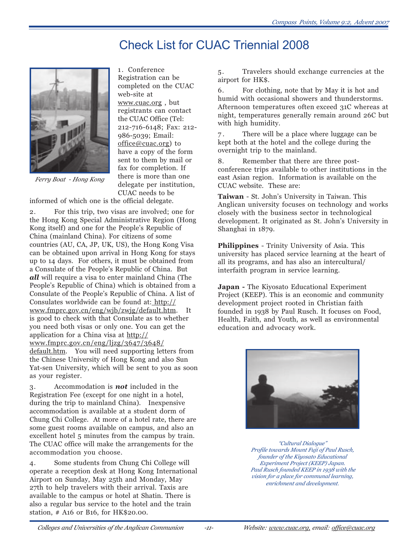# Check List for CUAC Triennial 2008



1. Conference Registration can be completed on the CUAC web-site at www.cuac.org , but registrants can contact the CUAC Office (Tel: 212-716-6148; Fax: 212- 986-5039; Email: office@cuac.org) to have a copy of the form sent to them by mail or fax for completion. If there is more than one delegate per institution, CUAC needs to be

*Ferry Boat - Hong Kong*

informed of which one is the official delegate.

2. For this trip, two visas are involved; one for the Hong Kong Special Administrative Region (Hong Kong itself) and one for the People's Republic of China (mainland China). For citizens of some countries (AU, CA, JP, UK, US), the Hong Kong Visa can be obtained upon arrival in Hong Kong for stays up to 14 days. For others, it must be obtained from a Consulate of the People's Republic of China. But *all* will require a visa to enter mainland China (The People's Republic of China) which is obtained from a Consulate of the People's Republic of China. A list of Consulates worldwide can be found at: http:// www.fmprc.gov.cn/eng/wjb/zwjg/default.htm. It is good to check with that Consulate as to whether you need both visas or only one. You can get the application for a China visa at http:// www.fmprc.gov.cn/eng/ljzg/3647/3648/

default.htm. You will need supporting letters from the Chinese University of Hong Kong and also Sun Yat-sen University, which will be sent to you as soon as your register.

3. Accommodation is *not* included in the Registration Fee (except for one night in a hotel, during the trip to mainland China). Inexpensive accommodation is available at a student dorm of Chung Chi College. At more of a hotel rate, there are some guest rooms available on campus, and also an excellent hotel 5 minutes from the campus by train. The CUAC office will make the arrangements for the accommodation you choose.

4. Some students from Chung Chi College will operate a reception desk at Hong Kong International Airport on Sunday, May 25th and Monday, May 27th to help travelers with their arrival. Taxis are available to the campus or hotel at Shatin. There is also a regular bus service to the hotel and the train station, # A16 or B16, for HK\$20.00.

5. Travelers should exchange currencies at the airport for HK\$.

6. For clothing, note that by May it is hot and humid with occasional showers and thunderstorms. Afternoon temperatures often exceed 31C whereas at night, temperatures generally remain around 26C but with high humidity.

7 . There will be a place where luggage can be kept both at the hotel and the college during the overnight trip to the mainland.

8. Remember that there are three postconference trips available to other institutions in the east Asian region. Information is available on the CUAC website. These are:

**Taiwan** - St. John's University in Taiwan. This Anglican university focuses on technology and works closely with the business sector in technological development. It originated as St. John's University in Shanghai in 1879.

**Philippines** - Trinity University of Asia. This university has placed service learning at the heart of all its programs, and has also an intercultural/ interfaith program in service learning.

**Japan -** The Kiyosato Educational Experiment Project (KEEP). This is an economic and community development project rooted in Christian faith founded in 1938 by Paul Rusch. It focuses on Food, Health, Faith, and Youth, as well as environmental education and advocacy work.



*"Cultural Dialogue" Profile towards Mount Fuji of Paul Rusch, founder of the Kiyosato Educational Experiment Project (KEEP) Japan. Paul Rusch founded KEEP in 1938 with the vision for a place for communal learning, enrichment and development.*